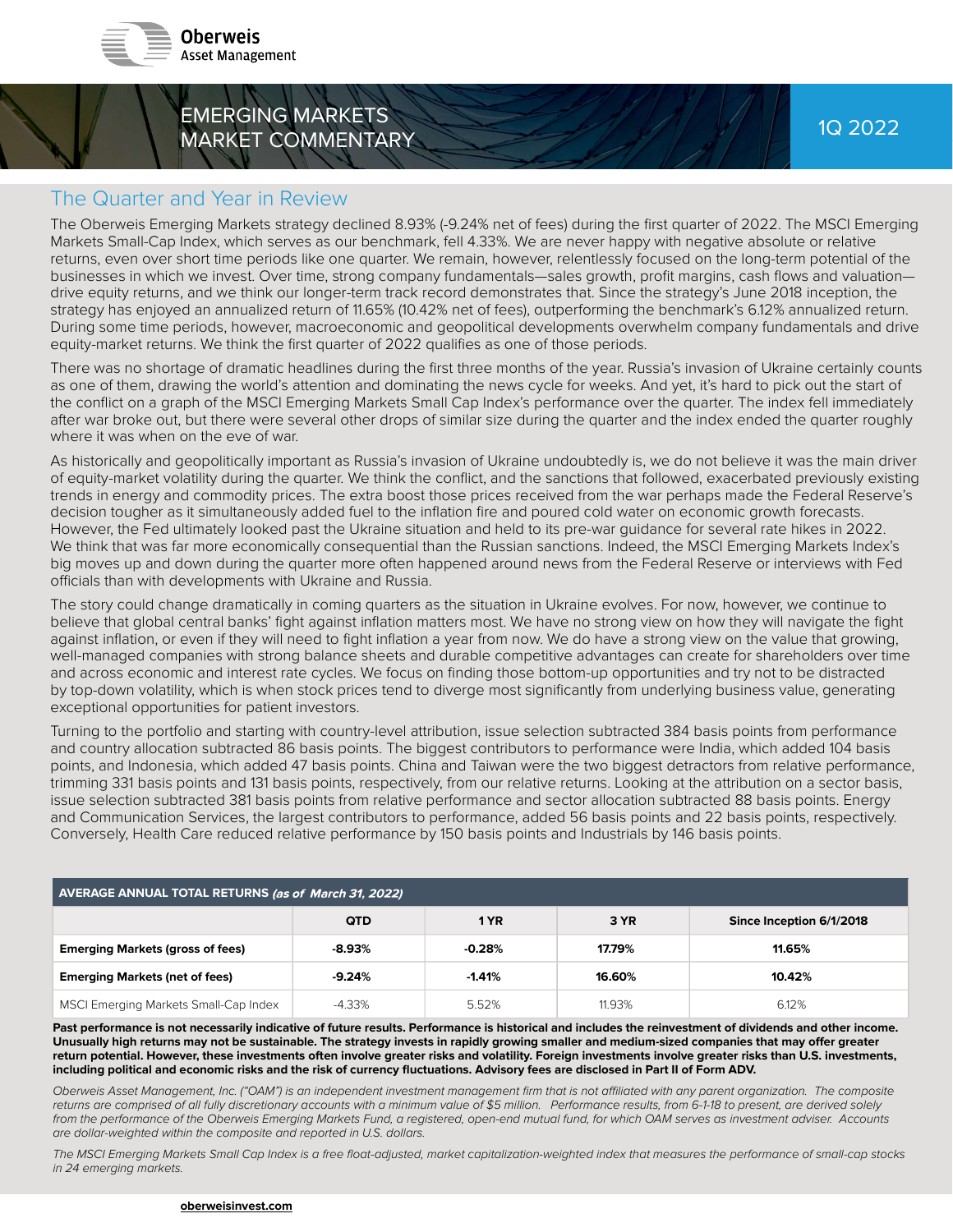

# EMERGING MARKETS MARKET COMMENTARY

#### The Quarter and Year in Review

The Oberweis Emerging Markets strategy declined 8.93% (-9.24% net of fees) during the first quarter of 2022. The MSCI Emerging Markets Small-Cap Index, which serves as our benchmark, fell 4.33%. We are never happy with negative absolute or relative returns, even over short time periods like one quarter. We remain, however, relentlessly focused on the long-term potential of the businesses in which we invest. Over time, strong company fundamentals—sales growth, profit margins, cash flows and valuation drive equity returns, and we think our longer-term track record demonstrates that. Since the strategy's June 2018 inception, the strategy has enjoyed an annualized return of 11.65% (10.42% net of fees), outperforming the benchmark's 6.12% annualized return. During some time periods, however, macroeconomic and geopolitical developments overwhelm company fundamentals and drive equity-market returns. We think the first quarter of 2022 qualifies as one of those periods.

There was no shortage of dramatic headlines during the first three months of the year. Russia's invasion of Ukraine certainly counts as one of them, drawing the world's attention and dominating the news cycle for weeks. And yet, it's hard to pick out the start of the conflict on a graph of the MSCI Emerging Markets Small Cap Index's performance over the quarter. The index fell immediately after war broke out, but there were several other drops of similar size during the quarter and the index ended the quarter roughly where it was when on the eve of war.

As historically and geopolitically important as Russia's invasion of Ukraine undoubtedly is, we do not believe it was the main driver of equity-market volatility during the quarter. We think the conflict, and the sanctions that followed, exacerbated previously existing trends in energy and commodity prices. The extra boost those prices received from the war perhaps made the Federal Reserve's decision tougher as it simultaneously added fuel to the inflation fire and poured cold water on economic growth forecasts. However, the Fed ultimately looked past the Ukraine situation and held to its pre-war guidance for several rate hikes in 2022. We think that was far more economically consequential than the Russian sanctions. Indeed, the MSCI Emerging Markets Index's big moves up and down during the quarter more often happened around news from the Federal Reserve or interviews with Fed officials than with developments with Ukraine and Russia.

The story could change dramatically in coming quarters as the situation in Ukraine evolves. For now, however, we continue to believe that global central banks' fight against inflation matters most. We have no strong view on how they will navigate the fight against inflation, or even if they will need to fight inflation a year from now. We do have a strong view on the value that growing, well-managed companies with strong balance sheets and durable competitive advantages can create for shareholders over time and across economic and interest rate cycles. We focus on finding those bottom-up opportunities and try not to be distracted by top-down volatility, which is when stock prices tend to diverge most significantly from underlying business value, generating exceptional opportunities for patient investors.

Turning to the portfolio and starting with country-level attribution, issue selection subtracted 384 basis points from performance and country allocation subtracted 86 basis points. The biggest contributors to performance were India, which added 104 basis points, and Indonesia, which added 47 basis points. China and Taiwan were the two biggest detractors from relative performance, trimming 331 basis points and 131 basis points, respectively, from our relative returns. Looking at the attribution on a sector basis, issue selection subtracted 381 basis points from relative performance and sector allocation subtracted 88 basis points. Energy and Communication Services, the largest contributors to performance, added 56 basis points and 22 basis points, respectively. Conversely, Health Care reduced relative performance by 150 basis points and Industrials by 146 basis points.

| AVERAGE ANNUAL TOTAL RETURNS (as of March 31, 2022) |            |          |        |                          |
|-----------------------------------------------------|------------|----------|--------|--------------------------|
|                                                     | <b>QTD</b> | 1 YR     | 3 YR   | Since Inception 6/1/2018 |
| <b>Emerging Markets (gross of fees)</b>             | $-8.93%$   | $-0.28%$ | 17.79% | 11.65%                   |
| <b>Emerging Markets (net of fees)</b>               | $-9.24%$   | $-1.41%$ | 16.60% | 10.42%                   |
| MSCI Emerging Markets Small-Cap Index               | -4.33%     | 5.52%    | 11.93% | 6.12%                    |

Past performance is not necessarily indicative of future results. Performance is historical and includes the reinvestment of dividends and other income. Unusually high returns may not be sustainable. The strategy invests in rapidly growing smaller and medium-sized companies that may offer greater return potential. However, these investments often involve greater risks and volatility. Foreign investments involve greater risks than U.S. investments, including political and economic risks and the risk of currency fluctuations. Advisory fees are disclosed in Part II of Form ADV.

Oberweis Asset Management, Inc. ("OAM") is an independent investment management firm that is not affiliated with any parent organization. The composite returns are comprised of all fully discretionary accounts with a minimum value of \$5 million. Performance results, from 6-1-18 to present, are derived solely from the performance of the Oberweis Emerging Markets Fund, a registered, open-end mutual fund, for which OAM serves as investment adviser. Accounts are dollar-weighted within the composite and reported in U.S. dollars.

The MSCI Emerging Markets Small Cap Index is a free float-adjusted, market capitalization-weighted index that measures the performance of small-cap stocks in 24 emerging markets.